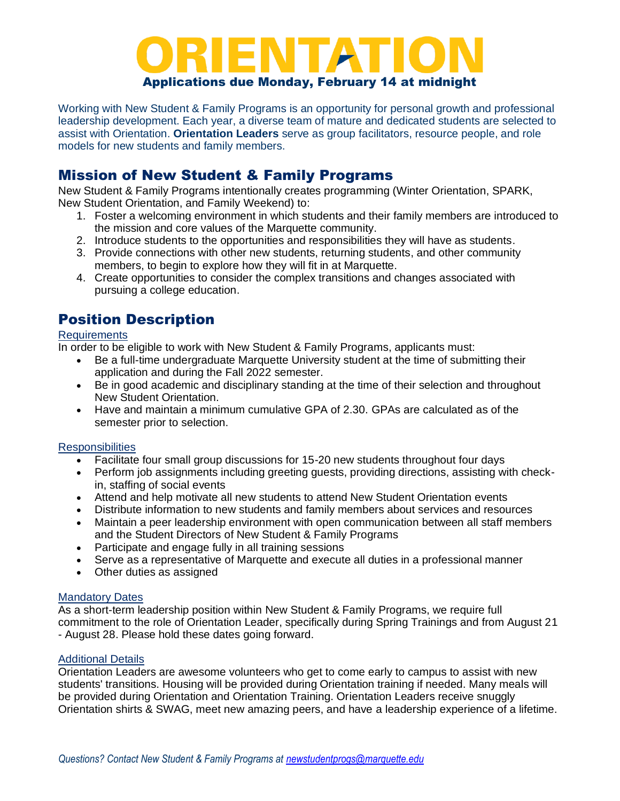### Applications due Monday, February 14 at midnight

Working with New Student & Family Programs is an opportunity for personal growth and professional leadership development. Each year, a diverse team of mature and dedicated students are selected to assist with Orientation. **Orientation Leaders** serve as group facilitators, resource people, and role models for new students and family members.

# Mission of New Student & Family Programs

New Student & Family Programs intentionally creates programming (Winter Orientation, SPARK, New Student Orientation, and Family Weekend) to:

- 1. Foster a welcoming environment in which students and their family members are introduced to the mission and core values of the Marquette community.
- 2. Introduce students to the opportunities and responsibilities they will have as students.
- 3. Provide connections with other new students, returning students, and other community members, to begin to explore how they will fit in at Marquette.
- 4. Create opportunities to consider the complex transitions and changes associated with pursuing a college education.

# Position Description

#### **Requirements**

In order to be eligible to work with New Student & Family Programs, applicants must:

- Be a full-time undergraduate Marquette University student at the time of submitting their application and during the Fall 2022 semester.
- Be in good academic and disciplinary standing at the time of their selection and throughout New Student Orientation.
- Have and maintain a minimum cumulative GPA of 2.30. GPAs are calculated as of the semester prior to selection.

#### **Responsibilities**

- Facilitate four small group discussions for 15-20 new students throughout four days
- Perform job assignments including greeting quests, providing directions, assisting with checkin, staffing of social events
- Attend and help motivate all new students to attend New Student Orientation events
- Distribute information to new students and family members about services and resources
- Maintain a peer leadership environment with open communication between all staff members and the Student Directors of New Student & Family Programs
- Participate and engage fully in all training sessions
- Serve as a representative of Marquette and execute all duties in a professional manner
- Other duties as assigned

#### Mandatory Dates

As a short-term leadership position within New Student & Family Programs, we require full commitment to the role of Orientation Leader, specifically during Spring Trainings and from August 21 - August 28. Please hold these dates going forward.

#### Additional Details

Orientation Leaders are awesome volunteers who get to come early to campus to assist with new students' transitions. Housing will be provided during Orientation training if needed. Many meals will be provided during Orientation and Orientation Training. Orientation Leaders receive snuggly Orientation shirts & SWAG, meet new amazing peers, and have a leadership experience of a lifetime.